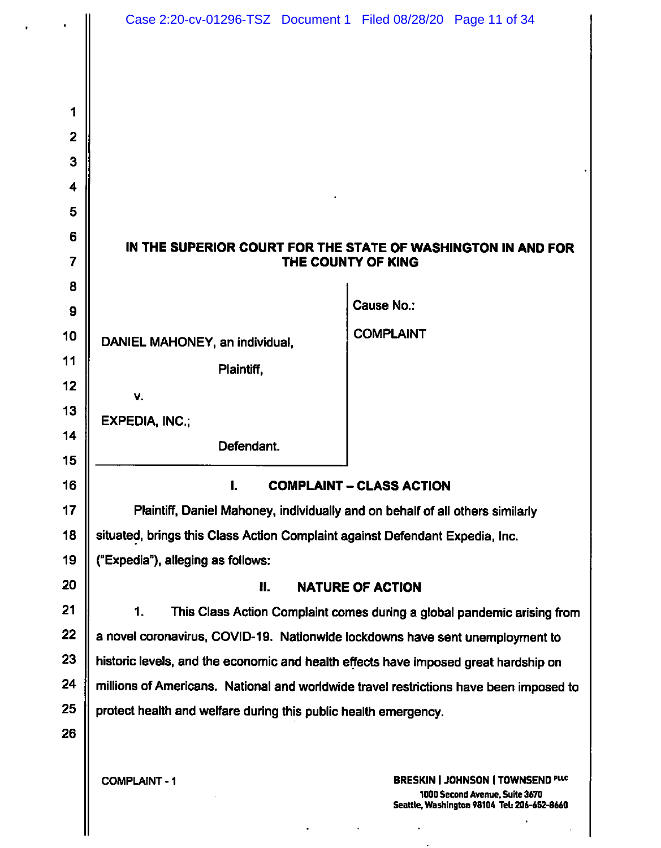|                | Case 2:20-cv-01296-TSZ Document 1 Filed 08/28/20 Page 11 of 34                         |                                                                                                                          |
|----------------|----------------------------------------------------------------------------------------|--------------------------------------------------------------------------------------------------------------------------|
|                |                                                                                        |                                                                                                                          |
|                |                                                                                        |                                                                                                                          |
|                |                                                                                        |                                                                                                                          |
| 1              |                                                                                        |                                                                                                                          |
| $\overline{2}$ |                                                                                        |                                                                                                                          |
| 3              |                                                                                        |                                                                                                                          |
| 4              |                                                                                        |                                                                                                                          |
| 5              |                                                                                        |                                                                                                                          |
| 6              | IN THE SUPERIOR COURT FOR THE STATE OF WASHINGTON IN AND FOR<br>THE COUNTY OF KING     |                                                                                                                          |
| 7              |                                                                                        |                                                                                                                          |
| 8              |                                                                                        | <b>Cause No.:</b>                                                                                                        |
| 9              |                                                                                        |                                                                                                                          |
| 10             | DANIEL MAHONEY, an individual,                                                         | <b>COMPLAINT</b>                                                                                                         |
| 11             | Plaintiff,                                                                             |                                                                                                                          |
| 12             | V.                                                                                     |                                                                                                                          |
| 13             | <b>EXPEDIA, INC.;</b>                                                                  |                                                                                                                          |
| 14             | Defendant.                                                                             |                                                                                                                          |
| 15             |                                                                                        |                                                                                                                          |
| 16             | I.<br><b>COMPLAINT - CLASS ACTION</b>                                                  |                                                                                                                          |
| 17             | Plaintiff, Daniel Mahoney, individually and on behalf of all others similarly          |                                                                                                                          |
| 18             | situated, brings this Class Action Complaint against Defendant Expedia, Inc.           |                                                                                                                          |
| 19             | ("Expedia"), alleging as follows:                                                      |                                                                                                                          |
| 20             | 81.<br><b>NATURE OF ACTION</b>                                                         |                                                                                                                          |
| 21             | 1.<br>This Class Action Complaint comes during a global pandemic arising from          |                                                                                                                          |
| 22             | a novel coronavirus, COVID-19. Nationwide lockdowns have sent unemployment to          |                                                                                                                          |
| 23             | historic levels, and the economic and health effects have imposed great hardship on    |                                                                                                                          |
| 24             | millions of Americans. National and worldwide travel restrictions have been imposed to |                                                                                                                          |
| 25             | protect health and welfare during this public health emergency.                        |                                                                                                                          |
| 26             |                                                                                        |                                                                                                                          |
|                |                                                                                        |                                                                                                                          |
|                | <b>COMPLAINT - 1</b>                                                                   | <b>BRESKIN   JOHNSON   TOWNSEND PLC</b><br>1000 Second Avenue, Suite 3670<br>Seattle, Washington 98104 Tel: 206-652-8660 |

 $\Delta \sim 10^{11}$  m  $^{-1}$ 

 $\sim 100$ 

 $\parallel$ 

 $\frac{1}{\sqrt{2}}$ 

 $\sim$ 

 $\ddot{\phantom{0}}$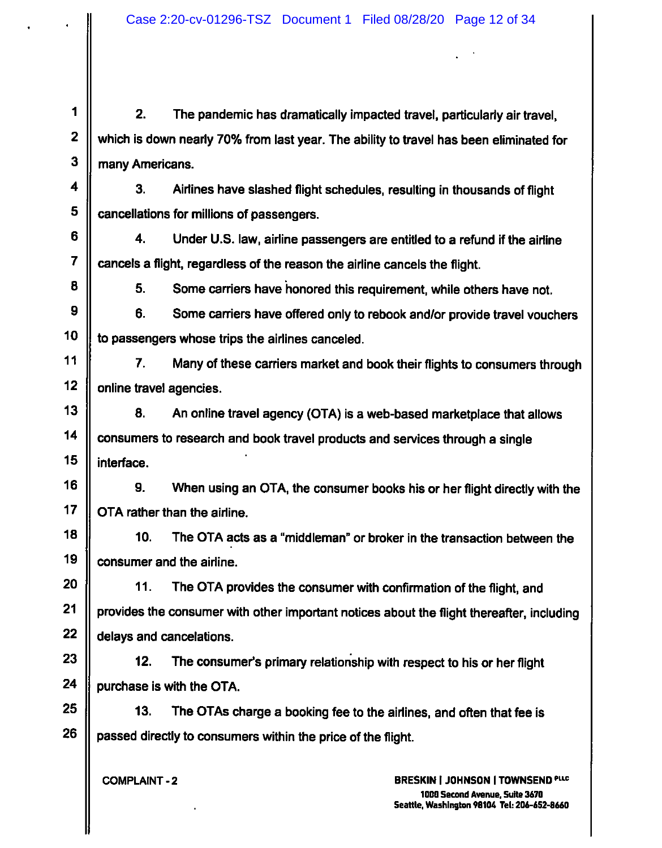1 | 2. The pandemic has dramatically impacted travel, particularly air travel, which is down nearly 70% from last year. The ability to travel has been eliminated for many Americans.

3. Airlines have slashed flight schedules, resulting in thousands of flight cancellations for millions of passengers.

4. Under U.S. law, airline passengers are entitled to a refund if the airline cancels a flight, regardless of the reason the airline cancels the flight.

5. Some carriers have honored this requirement, while others have not.

6. Some carriers have offered only to rebook and/or provide travel vouchers to passengers whose trips the airlines canceled.

7. Many of these carriers market and book their flights to consumers through online travel agencies.

8. An online travel agency (OTA) is a web-based marketplace that allows consumers to research and book travel products and services through a single interface.

16 || 9. When using an OTA, the consumer books his or her flight directly with the OTA rather than the airline. 9.

The OTA acts as a "middleman" or broker in the transaction between the  $18$   $\parallel$   $10$ . 19 | consumer and the airline.

11. The OTA provides the consumer with confirmation of the flight, and provides the consumer with other important notices about the flight thereafter, including delays and cancelations.

 $23$  || 12. The consumer's primary relationship with respect to his or her flight 24  $\parallel$  purchase is with the OTA.

13. The OTAs charge a booking fee to the airlines, and often that fee is passed directly to consumers within the price of the flight.

**COMPLAINT-2**

**BRESKIN I JOHNSON I TOWNSEND 100Q Second Avenue, Suite 3670 Seattle, Washington 98106 Tel: 206-6S2-6660**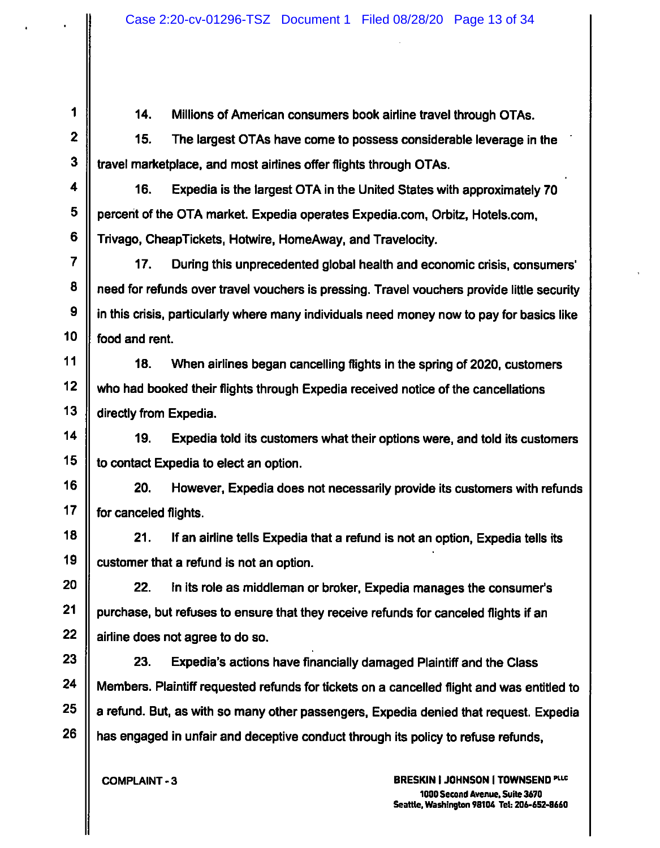1 | 14. Millions of American consumers book airline travel through OTAs. 14.

The largest OTAs have come to possess considerable leverage in the travel marketplace, and most airlines offer flights through OTAs.  $2 \parallel$  15.

Expedia is the largest OTA in the United States with approximately 70 percent of the OTA market. Expedia operates Expedia.com, Orbitz, Hotels.com, Trivago, CheapTickets, Hotwire, HomeAway, and Travelocity.  $4 \parallel$  16.

During this unprecedented global health and economic crisis, consumers' need for refunds over travel vouchers Is pressing. Travel vouchers provide little security in this crisis, particularly where many individuals need money now to pay for basics like food and rent.  $7 \parallel 17.$ 

11  $\parallel$  18. When airlines began cancelling flights in the spring of 2020, customers who had booked their flights through Expedia received notice of the cancellations directly from Expedia.

19. Expedia told its customers what their options were, and told its customers to contact Expedia to elect an option.

20. However, Expedia does not necessarily provide its customers with refunds for canceled flights.

21. If an airline tells Expedia that a refund is not an option, Expedia tells its customer that a refund is not an option.

22. in its role as middleman or broker, Expedia manages the consumer's purchase, but refuses to ensure that they receive refunds for canceled flights if an airline does not agree to do so.

23. Expedia's actions have financially damaged Plaintiff and the Class Members. Plaintiff requested refunds for tickets on a cancelled flight and was entitled to a refund. But, as with so many other passengers, Expedia denied that request. Expedia has engaged in unfair and deceptive conduct through its policy to refuse refunds.

**COMPLAINT-3**

**BRESKIN I JOHNSON I TOWNSEND 1000 Second Avenue. Suite 3670 Seattle, Washington 98106 Tek 206-652-8660**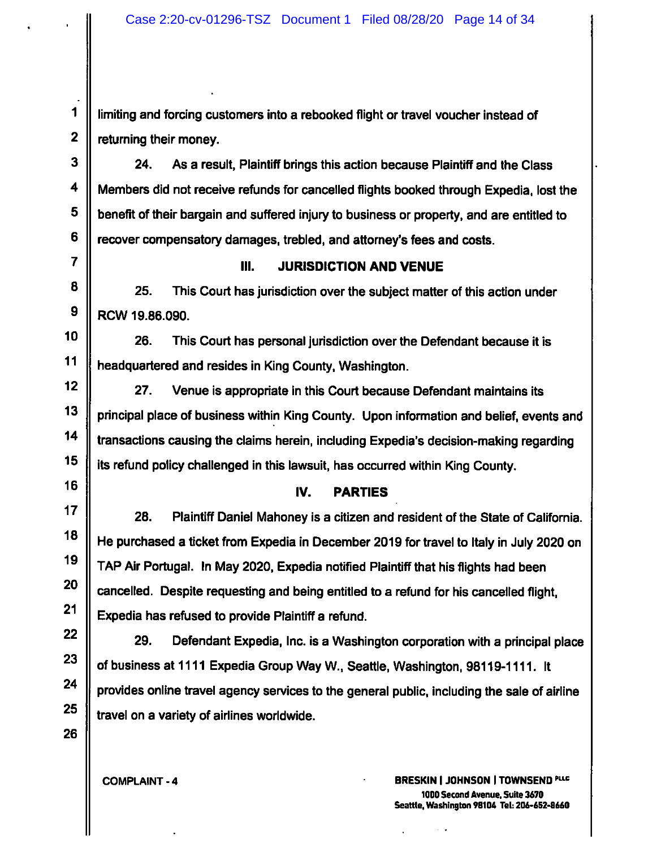1 | limiting and forcing customers into a rebooked flight or travel voucher instead of  $2 \parallel$  returning their money.

 $3 \parallel$  24. As a result, Plaintiff brings this action because Plaintiff and the Class Members did not receive refunds for cancelled flights booked through Expedia, lost the benefit of their bargain and suffered Injury to business or property, and are entitled to recover compensatory damages, trebled, and attorney's fees and costs. 24.

## <sup>7</sup> **III. JURISDICTION AND VENUE**

 $8 \parallel$  25. This Court has jurisdiction over the subject matter of this action under  $9$  | RCW 19.86.090.

10 || 26. This Court has personal jurisdiction over the Defendant because it is headquartered and resides in King County, Washington.

27. Venue is appropriate in this Court because Defendant maintains its principal place of business within King County. Upon information and belief, events and transactions causing the claims herein, including Expedia's decision-making regarding its refund policy challenged in this lawsuit, has occurred within King County.

# <sup>16</sup> **IV. PARTIES**

17  $\parallel$  28. Plaintiff Daniel Mahoney is a citizen and resident of the State of California. He purchased a ticket from Expedia in December 2019 for travel to Italy in July 2020 on TAP Air Portugal. In May 2020, Expedia notified Plaintiff that his flights had been cancelled. Despite requesting and being entitled to a refund for his cancelled flight, Expedia has refused to provide Plaintiff a refund. 28.

Defendant Expedia, Inc. is a Washington corporation with a principal place of business at 1111 Expedia Group Way W., Seattle, Washington, 98119-1111. It provides online travel agency services to the general public, including the sale of airline travel on a variety of airlines worldwide.  $22 \parallel 29.$ 

**BRESKIN I JOHNSON I TOWNSEND PUC COMPLAINT-4 1000 Second Avenue.Suite 3670 Seattle, Washington 98106 Tel: 206-652-8660**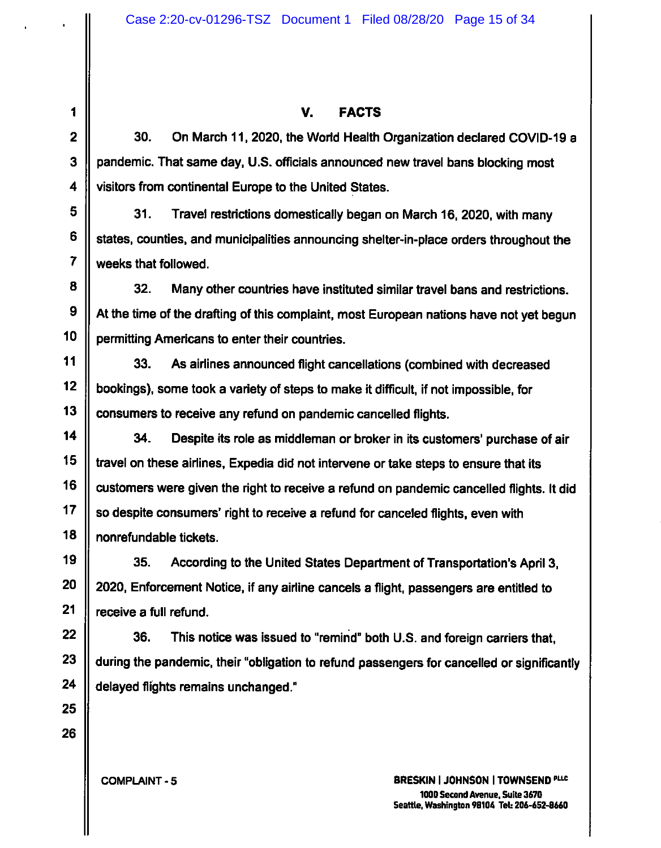# **2**

**3**

## **<sup>1</sup> V. FACTS**

30. On March 11, 2020, the World Health Organization declared COVID-19 a pandemic. That same day, U.S. officiais announced new travel bans blocking most visitors from continental Europe to the United States.

31. Travel restrictions domestically began on March 16, 2020, with many states, counties, and municipalities announcing shelter-in-place orders throughout the weeks that followed.

32. Many other countries have instituted similar travel bans and restrictions. At the time of the drafting of this complaint, most European nations have not yet begun permitting Americans to enter their countries.

33. As airlines announced flight cancellations (combined with decreased bookings), some took a variety of steps to make it difficult, if not impossible, for consumers to receive any refund on pandemic cancelled flights.

34. Despite its role as middleman or broker in its customers' purchase of air travel on these airlines, Expedia did not intervene or take steps to ensure that its customers were given the right to receive a refund on pandemic cancelled flights. It did so despite consumers' right to receive a refund for canceled flights, even with nonrefundable tickets.

35. According to the United States Department of Transportation's April 3, 2020, Enforcement Notice, if any airline cancels a flight, passengers are entitled to receive a full refund.

22  $\parallel$  36. This notice was issued to "remind" both U.S. and foreign carriers that, during the pandemic, their "obligation to refund passengers for cancelled or significantly delayed flights remains unchanged." 36.

**COMPLAINT-5**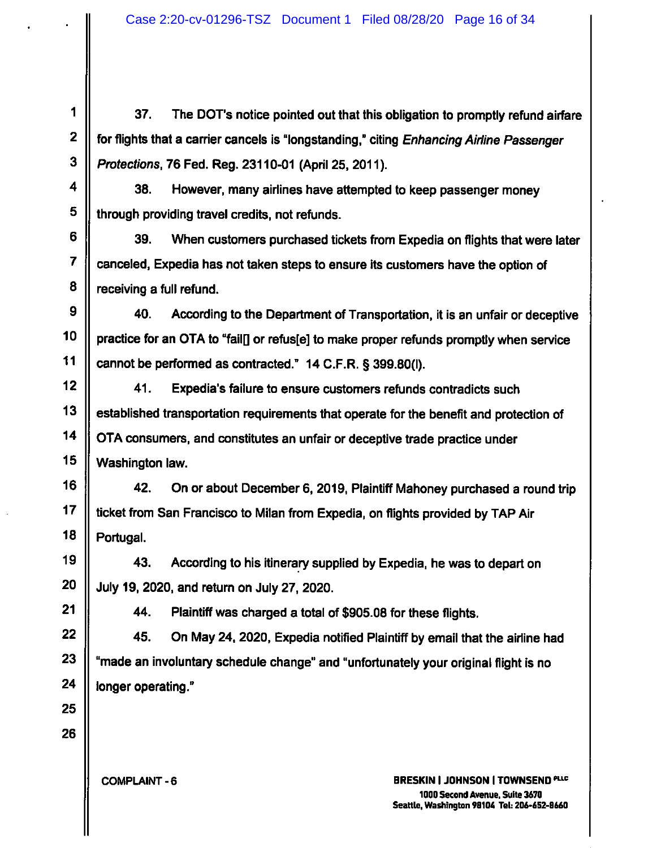1  $\parallel$  37. The DOT's notice pointed out that this obligation to promptly refund airfare for flights that a carrier cancels is "longstanding," citing *Enhancing Airline Passenger Protections,* 76 Fed. Reg. 23110-01 (April 25. 2011).

38. However, many airlines have attempted to keep passenger money through providing travel credits, not refunds.

39. When customers purchased tickets from Expedia on flights that were later canceled, Expedia has not taken steps to ensure its customers have the option of receiving a full refund.

 $9 \parallel$  40. According to the Department of Transportation, it is an unfair or deceptive practice for an OTA to "fail[] or refus[e] to make proper refunds promptly when service cannot be performed as contracted." 14 C.F.R. § 399.80(1). 40.

Expedia's failure to ensure customers refunds contradicts such established transportation requirements that operate for the benefit and protection of OTA consumers, and constitutes an unfair or deceptive trade practice under Washington law.  $12 \parallel 41.$ 

16 | 42. On or about December 6, 2019, Plaintiff Mahoney purchased a round trip ticket from San Francisco to Milan from Expedia, on flights provided by TAP Air Portugal. 42.

19 | 43. According to his itinerary supplied by Expedia, he was to depart on July 19, 2020, and return on July 27, 2020.

44. Plaintiff was charged a total of \$905.08 for these flights.

45. On May 24. 2020, Expedia notified Plaintiff by email that the airline had "made an involuntary schedule change" and "unfortunately your original flight is no longer operating."

**COMPLAINT-6**

**BRESKIN I JOHNSON I TOWNSEND 1000 Second Avenue. Suite 3670 Seattle, Washington 98104 TeU 206-652-8660**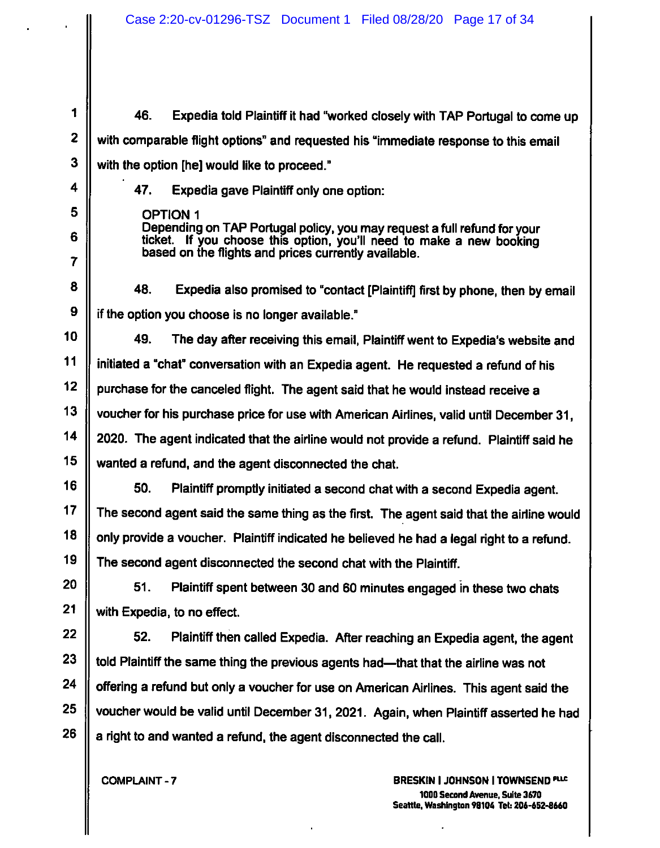<sup>1</sup> 46. Expedia told Plaintiff it had "worked closely with TAP Portugal to come up with comparable flight options" and requested his "immediate response to this email with the option [he] would like to proceed."

47. Expedia gave Plaintiff only one option:

OPTION <sup>1</sup> Depending on TAP Portugal policy, you may request a full refund for your ticket. If you choose this option, you'll need to make a new booking based on the flights and prices currently available.

8 | 48. Expedia also promised to "contact [Plaintiff] first by phone, then by email if the option you choose is no longer available."

49. The day after receiving this email, Plaintiff went to Expedia's website and initiated a "chat" conversation with an Expedia agent. He requested a refund of his purchase for the canceled flight. The agent said that he would instead receive a voucher for his purchase price for use with American Airlines, valid until December 31, 2020. The agent indicated that the airline would not provide a refund. Plaintiff said he wanted a refund, and the agent disconnected the chat.

50. Plaintiff promptly initiated a second chat with a second Expedia agent. The second agent said the same thing as the first. The agent said that the airline would only provide a voucher. Plaintiff indicated he believed he had a legal right to a refund. The second agent disconnected the second chat with the Plaintiff.

51. Plaintiff spent between 30 and 60 minutes engaged in these two chats with Expedia, to no effect.

22 || 52. Plaintiff then called Expedia. After reaching an Expedia agent, the agent told Plaintiff the same thing the previous agents had—that that the airline was not offering a refund but only a voucher for use on American Airlines. This agent said the voucher would be valid until December 31, 2021. Again, when Plaintiff asserted he had a right to and wanted a refund, the agent disconnected the call. 52.

**COMPLAINT-7**

2

3

4

5

6

7

**9**

**10**

**11**

**12**

**13**

**14**

**15**

**16**

**17**

**18**

**19**

**20**

**21**

23

24

25

26

**BRESKIN I JOHNSON I TOWNSEND 1000 Second Avenue, Suite 3670 Seattle. Washington 98106 Tel: 206-652-8660**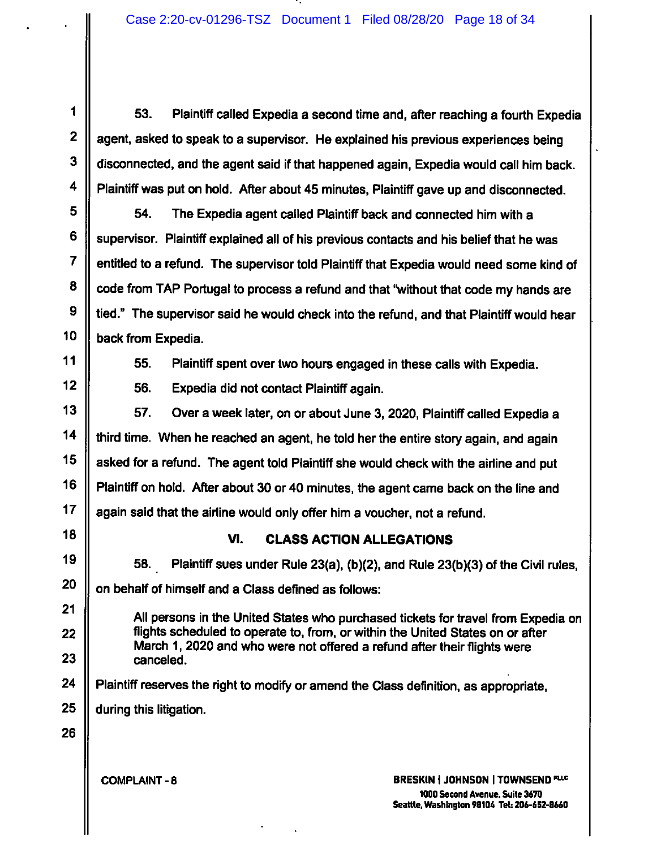1  $\parallel$  53. Plaintiff called Expedia a second time and, after reaching a fourth Expedia agent, asked to speak to a supervisor. He explained his previous experiences being disconnected, and the agent said if that happened again, Expedia would call him back. Plaintiff was put on hold. After about 45 minutes, Plaintiff gave up and disconnected.

54. The Expedia agent called Plaintiff back and connected him with a supervisor. Plaintiff explained all of his previous contacts and his belief that he was entitled to a refund. The supervisor told Plaintiff that Expedia would need some kind of code from TAP Portugal to process a refund and that "without that code my hands are tied." The supervisor said he would check into the refund, and that Plaintiff would hear back from Expedia.

2

3

4

5

6

7

8

9

10

**14**

15

16

17

19

20

22

23

24

25

11  $\parallel$  55. Plaintiff spent over two hours engaged in these calls with Expedia. 55.

Expedia did not contact Plaintiff again.  $12 \parallel$  56.

Over a week later, on or about June 3, 2020, Plaintiff called Expedia a third time. When he reached an agent, he told her the entire story again, and again asked for a refund. The agent told Plaintiff she would check with the airline and put Plaintiff on hold. After about 30 or 40 minutes, the agent came back on the line and again said that the airline would only offer him a voucher, not a refund.  $13 \parallel 57$ .

**<sup>18</sup> VI. CLASS ACTION ALLEGATIONS**

58. Plaintiff sues under Rule 23(a), (b)(2), and Rule 23(b)(3) of the Civil rules, on behalf of himself and a Class defined as follows:

21 **All persons in the United States who purchased tickets for travel from Expedia on** flights scheduled to operate to, from, or within the United States on or after March 1, 2020 and who were not offered a refund after their flights were canceled.

Plaintiff reserves the right to modify or amend the Class definition, as appropriate,

during this litigation.

26

**COMPLAINT-8**

**BRESKIN I JOHNSON I TOWNSEND ''l ic 1000 Second Avenue, Suite 3670 Seattle. Washington 98106 Teb 206-652-8660**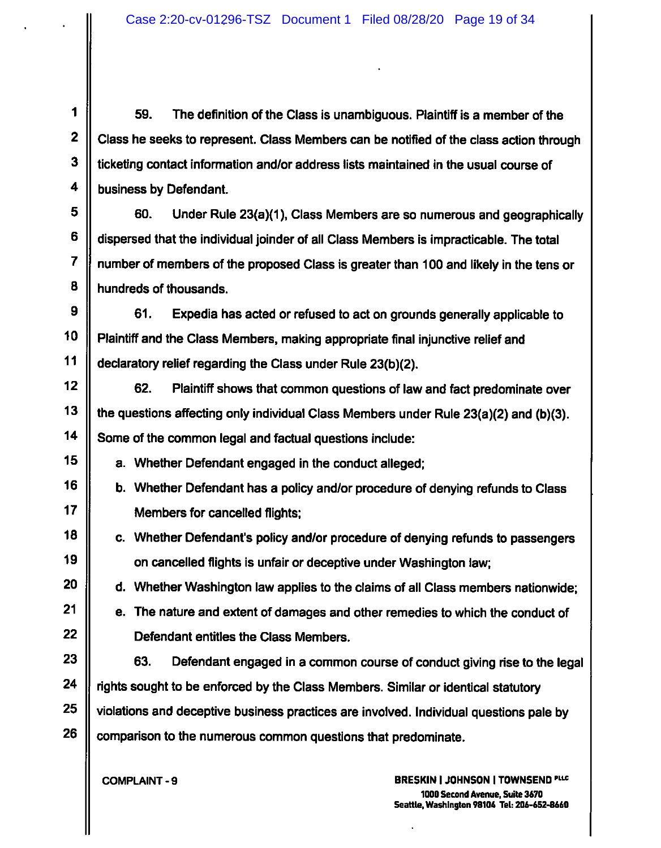1  $\parallel$  59. The definition of the Class is unambiguous. Plaintiff is a member of the Ciass he seeks to represent. Class Members can be notified of the class action through ticketing contact information and/or address lists maintained in the usual course of business by Defendant.

60. Under Rule 23(a)(1), Class Members are so numerous and geographically dispersed that the individual joinder of all Class Members is impracticable. The total number of members of the proposed Class is greater than 100 and likely in the tens or hundreds of thousands.

61. Expedia has acted or refused to act on grounds generally applicable to Plaintiff and the Class Members, making appropriate final injunctive relief and declaratory relief regarding the Class under Rule 23(b)(2). 9 10 11

62. Plaintiff shows that common questions of law and fact predominate over the questions affecting only individual Class Members under Rule 23(a)(2) and (b)(3). Some of the common legal and factual questions include:

a. Whether Defendant engaged in the conduct alleged;

b. Whether Defendant has a policy and/or procedure of denying refunds to Class Members for cancelled flights;

c. Whether Defendant's policy and/or procedure of denying refunds to passengers on cancelled flights is unfair or deceptive under Washington law;

d. Whether Washington law applies to the claims of all Class members nationwide;

e. The nature and extent of damages and other remedies to which the conduct of Defendant entitles the Class Members.

63. Defendant engaged in a common course of conduct giving rise to the legal rights sought to be enforced by the Class Members. Similar or identical statutory violations and deceptive business practices are involved. Individual questions pale by comparison to the numerous common questions that predominate.

**COMPLAINT-9**

2

3

4

5

6

7

8

12

13

14

15

16

17

18

19

20

21

22

23

24

25

26

**BRESKIN I JOHNSON I TOWNSEND 1000 Second Avenue, Suite 3670 Seattle, Washington 98104 Tel: 206-652-8660**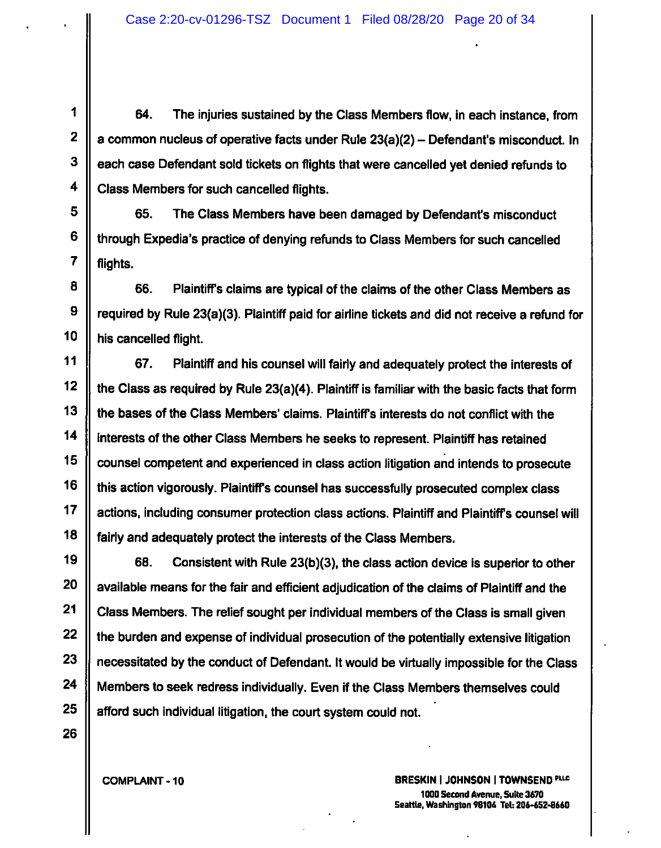1 64. The injuries sustained by the Class Members flow, in each instance, from <sup>a</sup> common nucleus of operative facts under Rule 23(a)(2) - Defendant's misconduct. In each case Defendant sold tickets on flights that were cancelled yet denied refunds to Class Members for such cancelled flights.

65. The Class Members have been damaged by Defendant's misconduct through Expedia's practice of denying refunds to Class Members for such cancelled flights.

8 || 66. Plaintiff's claims are typical of the claims of the other Class Members as required by Rule 23(a)(3). Plaintiff paid for airline tickets and did not receive a refund for his cancelled flight.

67. Plaintiff and his counsel will fairly and adequately protect the interests of the Class as required by Rule 23(a)(4). Plaintiff is familiar with the basic facts that form the bases of the Class Members' claims. Plaintiff's interests do not conflict with the interests of the other Class Members he seeks to represent. Plaintiff has retained counsel competent and experienced in class action litigation and intends to prosecute this action vigorously. Plaintiffs counsel has successfully prosecuted complex class actions, including consumer protection class actions. Plaintiff and Plaintiff's counsel will fairly and adequately protect the interests of the Class Members.

68. Consistent with Rule 23(b)(3), the class action device is superior to other available means for the fair and efficient adjudication of the claims of Plaintiff and the Class Members. The relief sought per individual members of the Class is small given the burden and expense of individual prosecution of the potentially extensive litigation necessitated by the conduct of Defendant. It would be virtually impossible for the Class Members to seek redress individually. Even if the Class Members themselves could afford such individual litigation, the court system could not.

**25 26**

2

3

4

5

6

7

**9**

**10**

**11**

**12**

**13**

**14**

**15**

**16**

**17**

**18**

**19**

**20**

**21**

**22**

**23**

**24**

**COMPLAINT-10**

**BRESKIN I JOHNSON I TOWNSEND 1000 Second Avenue, Suite 3670 Seattle, Washington 98106 Tek 206-652-8660**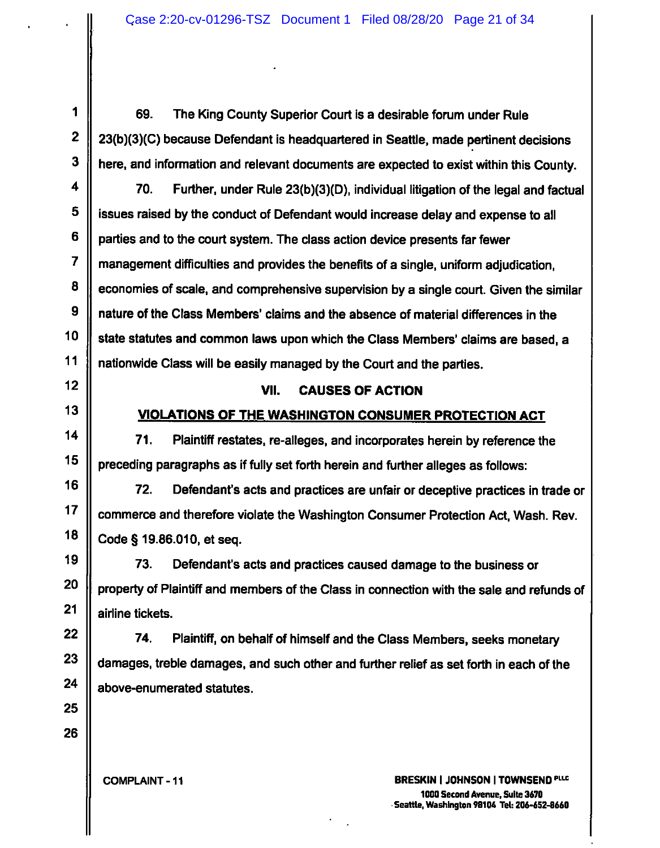1 69. The King County Superior Court is a desirable forum under Rule 23(b)(3)(C) because Defendant is headquartered in Seattie, made pertinent decisions here, and information and reievant documents are expected to exist within this County.

70. Further, under Ruie 23(b)(3)(D), individuai iitigation of the iegai and factuai issues raised by the conduct of Defendant would increase delay and expense to all parties and to the court system. The class action device presents far fewer management difficulties and provides the benefits of a single, uniform adjudication, economies of scale, and comprehensive supervision by a single court. Given the similar nature of the Class Members' claims and the absence of material differences in the state statutes and common laws upon which the Class Members' claims are based, a nationwide Class will be easily managed by the Court and the parties.

#### **VII. CAUSES OF ACTION**

### **VIOLATIONS OF THE WASHINGTON CONSUMER PROTECTION ACT**

<sup>14</sup> **71**. Plaintiff restates, re-alleges, and incorporates herein by reference the preceding paragraphs as if fully set forth herein and further alleges as follows:

72. Defendant's acts and practices are unfair or deceptive practices in trade or commerce and therefore violate the Washington Consumer Protection Act, Wash. Rev. Code § 19.86.010, et seq.

73. Defendant's acts and practices caused damage to the business or property of Plaintiff and members of the Class in connection with the sale and refunds of airline tickets.

 $22$  ||  $24$  Plaintiff, on behalf of himself and the Class Members, seeks monetary damages, treble damages, and such other and further relief as set forth in each of the above-enumerated statutes. 74.

2

3

4

5

6

7

**8**

9

10

11

12

13

15

**COMPLAINT-11**